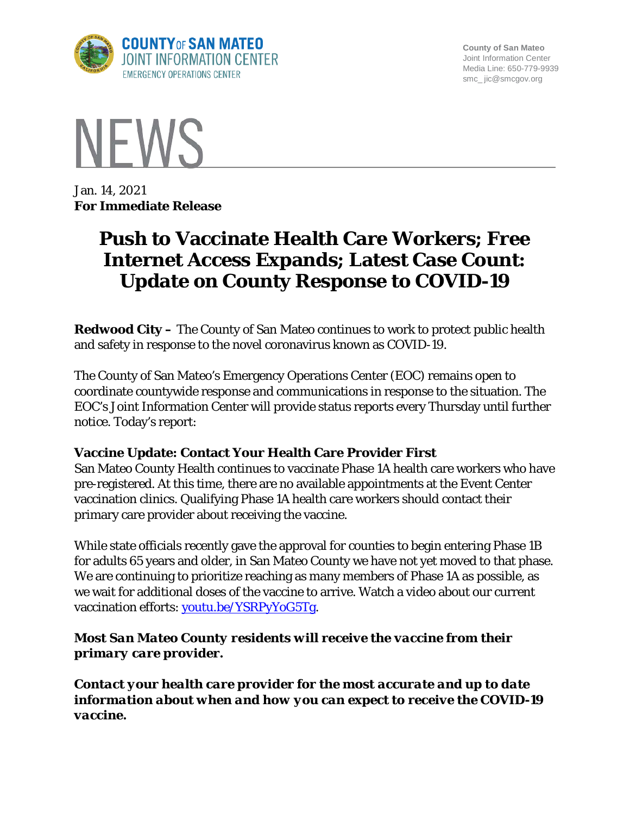

**County of San Mateo** Joint Information Center Media Line: 650-779-9939 smc\_ jic@smcgov.org



Jan. 14, 2021 **For Immediate Release**

# **Push to Vaccinate Health Care Workers; Free Internet Access Expands; Latest Case Count: Update on County Response to COVID-19**

**Redwood City –** The County of San Mateo continues to work to protect public health and safety in response to the novel coronavirus known as COVID-19.

The County of San Mateo's Emergency Operations Center (EOC) remains open to coordinate countywide response and communications in response to the situation. The EOC's Joint Information Center will provide status reports every Thursday until further notice. Today's report:

#### **Vaccine Update: Contact Your Health Care Provider First**

San Mateo County Health continues to vaccinate Phase 1A health care workers who have pre-registered. At this time, there are no available appointments at the Event Center vaccination clinics. Qualifying Phase 1A health care workers should contact their primary care provider about receiving the vaccine.

While state officials recently gave the approval for counties to begin entering Phase 1B for adults 65 years and older, in San Mateo County we have not yet moved to that phase. We are continuing to prioritize reaching as many members of Phase 1A as possible, as we wait for additional doses of the vaccine to arrive. Watch a video about our current vaccination efforts: youtu.be/YSRPyYoG5Tg.

#### *Most San Mateo County residents will receive the vaccine from their primary care provider.*

*Contact your health care provider for the most accurate and up to date information about when and how you can expect to receive the COVID-19 vaccine.*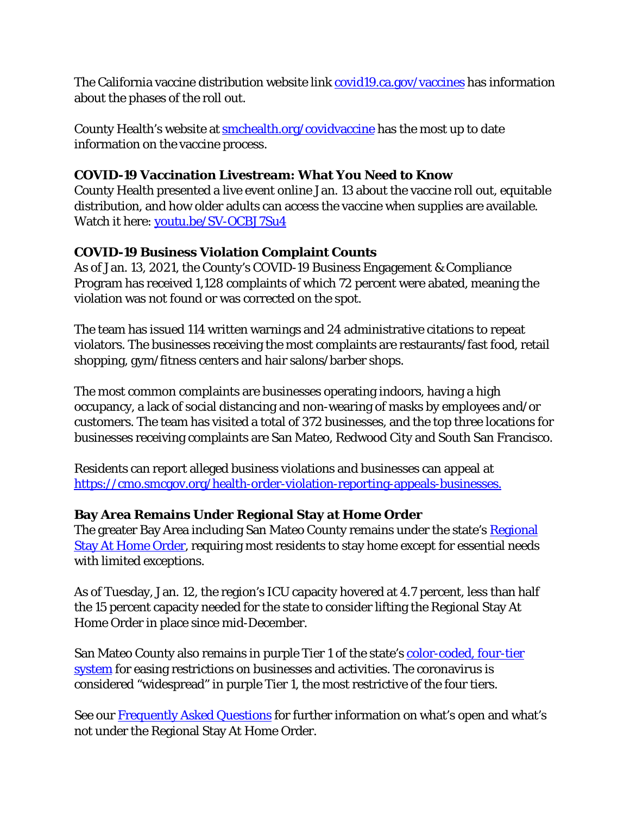The California vaccine distribution website link [covid19.ca.gov/vaccines](https://covid19.ca.gov/vaccines/) has information about the phases of the roll out.

County Health's website at **[smchealth.org/covidvaccine](https://www.smchealth.org/covidvaccine)** has the most up to date information on the vaccine process.

#### **COVID-19 Vaccination Livestream: What You Need to Know**

County Health presented a live event online Jan. 13 about the vaccine roll out, equitable distribution, and how older adults can access the vaccine when supplies are available. Watch it here: [youtu.be/SV-OCBJ7Su4](https://youtu.be/SV-OCBJ7Su4)

# **COVID-19 Business Violation Complaint Counts**

As of Jan. 13, 2021, the County's COVID-19 Business Engagement & Compliance Program has received 1,128 complaints of which 72 percent were abated, meaning the violation was not found or was corrected on the spot.

The team has issued 114 written warnings and 24 administrative citations to repeat violators. The businesses receiving the most complaints are restaurants/fast food, retail shopping, gym/fitness centers and hair salons/barber shops.

The most common complaints are businesses operating indoors, having a high occupancy, a lack of social distancing and non-wearing of masks by employees and/or customers. The team has visited a total of 372 businesses, and the top three locations for businesses receiving complaints are San Mateo, Redwood City and South San Francisco.

Residents can report alleged business violations and businesses can appeal at [https://cmo.smcgov.org/health-order-violation-reporting-appeals-businesses.](https://cmo.smcgov.org/health-order-violation-reporting-appeals-businesses)

# **Bay Area Remains Under Regional Stay at Home Order**

The greater Bay Area including San Mateo County remains under the state's Regional [Stay At Home Order,](https://covid19.ca.gov/stay-home-except-for-essential-needs/#regional-stay-home-order) requiring most residents to stay home except for essential needs with limited exceptions.

As of Tuesday, Jan. 12, the region's ICU capacity hovered at 4.7 percent, less than half the 15 percent capacity needed for the state to consider lifting the Regional Stay At Home Order in place since mid-December.

San Mateo County also remains in purple Tier 1 of the state's color-coded, four-tier [system](https://covid19.ca.gov/safer-economy/) for easing restrictions on businesses and activities. The coronavirus is considered "widespread" in purple Tier 1, the most restrictive of the four tiers.

See our [Frequently Asked Questions](https://cmo.smcgov.org/press-release/dec-17-2020-regional-stay-home-order-frequently-asked-questions) for further information on what's open and what's not under the Regional Stay At Home Order.